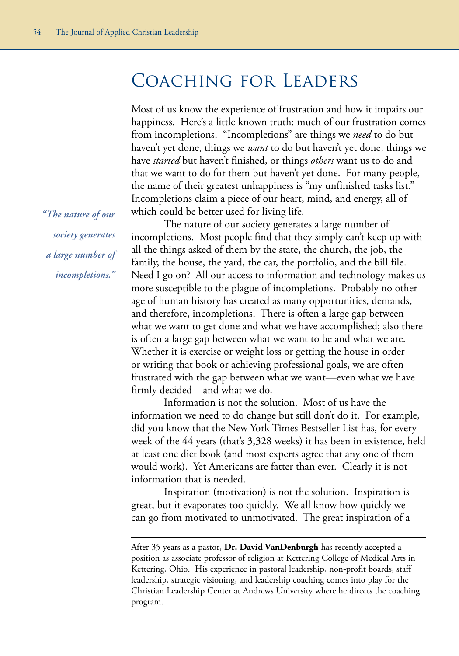## Coaching for Leaders

Most of us know the experience of frustration and how it impairs our happiness. Here's a little known truth: much of our frustration comes from incompletions. "Incompletions" are things we *need* to do but haven't yet done, things we *want* to do but haven't yet done, things we have *started* but haven't finished, or things *others* want us to do and that we want to do for them but haven't yet done. For many people, the name of their greatest unhappiness is "my unfinished tasks list." Incompletions claim a piece of our heart, mind, and energy, all of which could be better used for living life.

The nature of our society generates a large number of incompletions. Most people find that they simply can't keep up with all the things asked of them by the state, the church, the job, the family, the house, the yard, the car, the portfolio, and the bill file. Need I go on? All our access to information and technology makes us more susceptible to the plague of incompletions. Probably no other age of human history has created as many opportunities, demands, and therefore, incompletions. There is often a large gap between what we want to get done and what we have accomplished; also there is often a large gap between what we want to be and what we are. Whether it is exercise or weight loss or getting the house in order or writing that book or achieving professional goals, we are often frustrated with the gap between what we want––even what we have firmly decided––and what we do.

Information is not the solution. Most of us have the information we need to do change but still don't do it. For example, did you know that the New York Times Bestseller List has, for every week of the 44 years (that's 3,328 weeks) it has been in existence, held at least one diet book (and most experts agree that any one of them would work). Yet Americans are fatter than ever. Clearly it is not information that is needed.

Inspiration (motivation) is not the solution. Inspiration is great, but it evaporates too quickly. We all know how quickly we can go from motivated to unmotivated. The great inspiration of a

*"The nature of our society generates a large number of incompletions."* 

After 35 years as a pastor, **Dr. David VanDenburgh** has recently accepted a position as associate professor of religion at Kettering College of Medical Arts in Kettering, Ohio. His experience in pastoral leadership, non-profit boards, staff leadership, strategic visioning, and leadership coaching comes into play for the Christian Leadership Center at Andrews University where he directs the coaching program.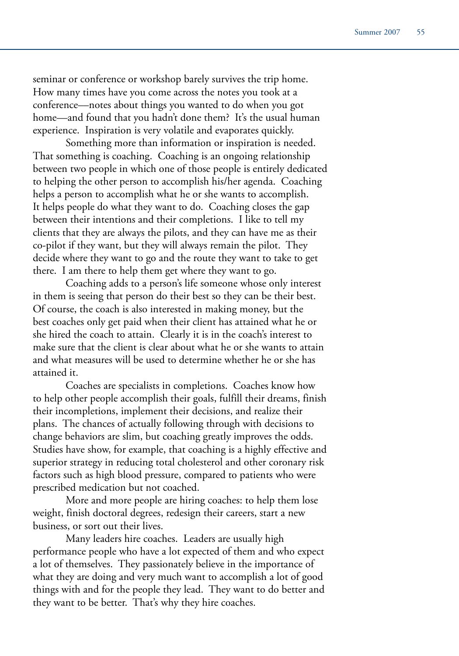seminar or conference or workshop barely survives the trip home. How many times have you come across the notes you took at a conference––notes about things you wanted to do when you got home––and found that you hadn't done them? It's the usual human experience. Inspiration is very volatile and evaporates quickly.

Something more than information or inspiration is needed. That something is coaching. Coaching is an ongoing relationship between two people in which one of those people is entirely dedicated to helping the other person to accomplish his/her agenda. Coaching helps a person to accomplish what he or she wants to accomplish. It helps people do what they want to do. Coaching closes the gap between their intentions and their completions. I like to tell my clients that they are always the pilots, and they can have me as their co-pilot if they want, but they will always remain the pilot. They decide where they want to go and the route they want to take to get there. I am there to help them get where they want to go.

Coaching adds to a person's life someone whose only interest in them is seeing that person do their best so they can be their best. Of course, the coach is also interested in making money, but the best coaches only get paid when their client has attained what he or she hired the coach to attain. Clearly it is in the coach's interest to make sure that the client is clear about what he or she wants to attain and what measures will be used to determine whether he or she has attained it.

Coaches are specialists in completions. Coaches know how to help other people accomplish their goals, fulfill their dreams, finish their incompletions, implement their decisions, and realize their plans. The chances of actually following through with decisions to change behaviors are slim, but coaching greatly improves the odds. Studies have show, for example, that coaching is a highly effective and superior strategy in reducing total cholesterol and other coronary risk factors such as high blood pressure, compared to patients who were prescribed medication but not coached.

More and more people are hiring coaches: to help them lose weight, finish doctoral degrees, redesign their careers, start a new business, or sort out their lives.

Many leaders hire coaches. Leaders are usually high performance people who have a lot expected of them and who expect a lot of themselves. They passionately believe in the importance of what they are doing and very much want to accomplish a lot of good things with and for the people they lead. They want to do better and they want to be better. That's why they hire coaches.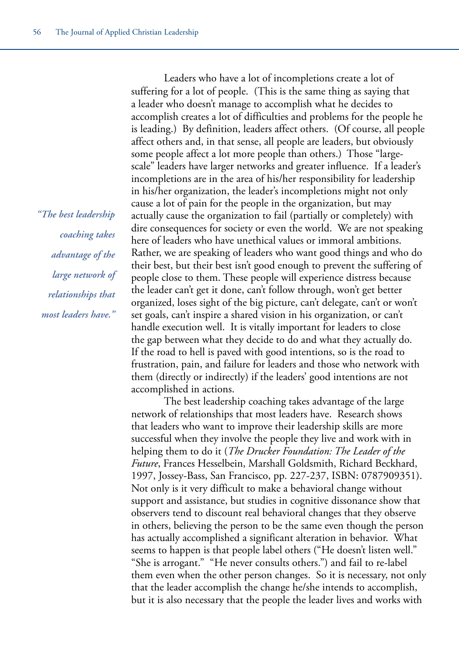*"The best leadership coaching takes advantage of the large network of relationships that most leaders have."*

Leaders who have a lot of incompletions create a lot of suffering for a lot of people. (This is the same thing as saying that a leader who doesn't manage to accomplish what he decides to accomplish creates a lot of difficulties and problems for the people he is leading.) By definition, leaders affect others. (Of course, all people affect others and, in that sense, all people are leaders, but obviously some people affect a lot more people than others.) Those "largescale" leaders have larger networks and greater influence. If a leader's incompletions are in the area of his/her responsibility for leadership in his/her organization, the leader's incompletions might not only cause a lot of pain for the people in the organization, but may actually cause the organization to fail (partially or completely) with dire consequences for society or even the world. We are not speaking here of leaders who have unethical values or immoral ambitions. Rather, we are speaking of leaders who want good things and who do their best, but their best isn't good enough to prevent the suffering of people close to them. These people will experience distress because the leader can't get it done, can't follow through, won't get better organized, loses sight of the big picture, can't delegate, can't or won't set goals, can't inspire a shared vision in his organization, or can't handle execution well. It is vitally important for leaders to close the gap between what they decide to do and what they actually do. If the road to hell is paved with good intentions, so is the road to frustration, pain, and failure for leaders and those who network with them (directly or indirectly) if the leaders' good intentions are not accomplished in actions.

The best leadership coaching takes advantage of the large network of relationships that most leaders have. Research shows that leaders who want to improve their leadership skills are more successful when they involve the people they live and work with in helping them to do it (*The Drucker Foundation: The Leader of the Future*, Frances Hesselbein, Marshall Goldsmith, Richard Beckhard, 1997, Jossey-Bass, San Francisco, pp. 227-237, ISBN: 0787909351). Not only is it very difficult to make a behavioral change without support and assistance, but studies in cognitive dissonance show that observers tend to discount real behavioral changes that they observe in others, believing the person to be the same even though the person has actually accomplished a significant alteration in behavior. What seems to happen is that people label others ("He doesn't listen well." "She is arrogant." "He never consults others.") and fail to re-label them even when the other person changes. So it is necessary, not only that the leader accomplish the change he/she intends to accomplish, but it is also necessary that the people the leader lives and works with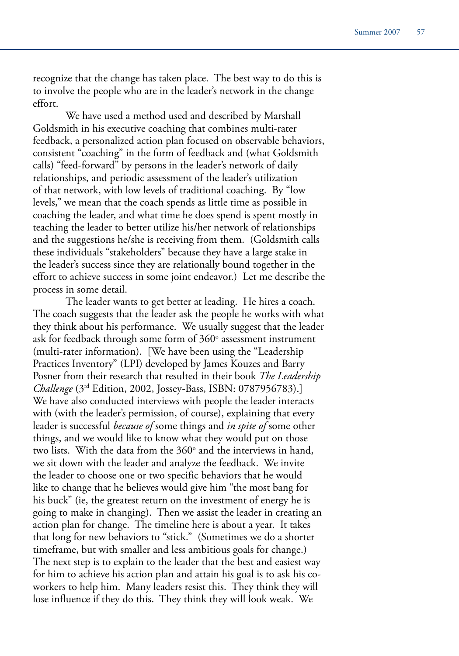recognize that the change has taken place. The best way to do this is to involve the people who are in the leader's network in the change effort.

We have used a method used and described by Marshall Goldsmith in his executive coaching that combines multi-rater feedback, a personalized action plan focused on observable behaviors, consistent "coaching" in the form of feedback and (what Goldsmith calls) "feed-forward" by persons in the leader's network of daily relationships, and periodic assessment of the leader's utilization of that network, with low levels of traditional coaching. By "low levels," we mean that the coach spends as little time as possible in coaching the leader, and what time he does spend is spent mostly in teaching the leader to better utilize his/her network of relationships and the suggestions he/she is receiving from them. (Goldsmith calls these individuals "stakeholders" because they have a large stake in the leader's success since they are relationally bound together in the effort to achieve success in some joint endeavor.) Let me describe the process in some detail.

The leader wants to get better at leading. He hires a coach. The coach suggests that the leader ask the people he works with what they think about his performance. We usually suggest that the leader ask for feedback through some form of 360° assessment instrument (multi-rater information). [We have been using the "Leadership Practices Inventory" (LPI) developed by James Kouzes and Barry Posner from their research that resulted in their book *The Leadership Challenge* (3rd Edition, 2002, Jossey-Bass, ISBN: 0787956783).] We have also conducted interviews with people the leader interacts with (with the leader's permission, of course), explaining that every leader is successful *because of* some things and *in spite of* some other things, and we would like to know what they would put on those two lists. With the data from the  $360^{\circ}$  and the interviews in hand, we sit down with the leader and analyze the feedback. We invite the leader to choose one or two specific behaviors that he would like to change that he believes would give him "the most bang for his buck" (ie, the greatest return on the investment of energy he is going to make in changing). Then we assist the leader in creating an action plan for change. The timeline here is about a year. It takes that long for new behaviors to "stick." (Sometimes we do a shorter timeframe, but with smaller and less ambitious goals for change.) The next step is to explain to the leader that the best and easiest way for him to achieve his action plan and attain his goal is to ask his coworkers to help him. Many leaders resist this. They think they will lose influence if they do this. They think they will look weak. We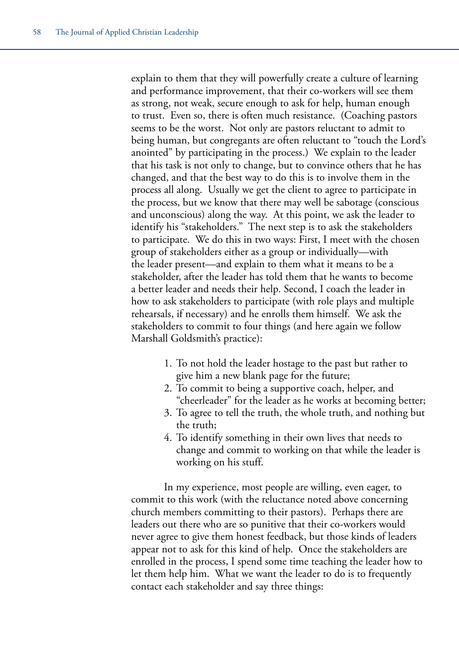explain to them that they will powerfully create a culture of learning and performance improvement, that their co-workers will see them as strong, not weak, secure enough to ask for help, human enough to trust. Even so, there is often much resistance. (Coaching pastors seems to be the worst. Not only are pastors reluctant to admit to being human, but congregants are often reluctant to "touch the Lord's anointed" by participating in the process.) We explain to the leader that his task is not only to change, but to convince others that he has changed, and that the best way to do this is to involve them in the process all along. Usually we get the client to agree to participate in the process, but we know that there may well be sabotage (conscious and unconscious) along the way. At this point, we ask the leader to identify his "stakeholders." The next step is to ask the stakeholders to participate. We do this in two ways: First, I meet with the chosen group of stakeholders either as a group or individually––with the leader present––and explain to them what it means to be a stakeholder, after the leader has told them that he wants to become a better leader and needs their help. Second, I coach the leader in how to ask stakeholders to participate (with role plays and multiple rehearsals, if necessary) and he enrolls them himself. We ask the stakeholders to commit to four things (and here again we follow Marshall Goldsmith's practice):

- 1. To not hold the leader hostage to the past but rather to give him a new blank page for the future;
- 2. To commit to being a supportive coach, helper, and "cheerleader" for the leader as he works at becoming better;
- 3. To agree to tell the truth, the whole truth, and nothing but the truth;
- 4. To identify something in their own lives that needs to change and commit to working on that while the leader is working on his stuff.

In my experience, most people are willing, even eager, to commit to this work (with the reluctance noted above concerning church members committing to their pastors). Perhaps there are leaders out there who are so punitive that their co-workers would never agree to give them honest feedback, but those kinds of leaders appear not to ask for this kind of help. Once the stakeholders are enrolled in the process, I spend some time teaching the leader how to let them help him. What we want the leader to do is to frequently contact each stakeholder and say three things: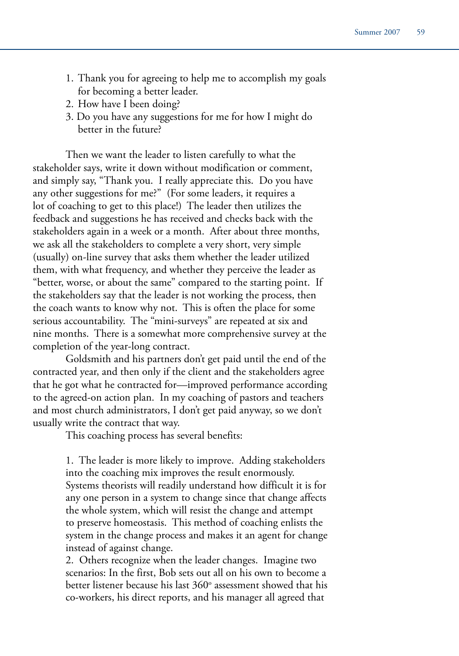- 1. Thank you for agreeing to help me to accomplish my goals for becoming a better leader.
- 2. How have I been doing?
- 3. Do you have any suggestions for me for how I might do better in the future?

Then we want the leader to listen carefully to what the stakeholder says, write it down without modification or comment, and simply say, "Thank you. I really appreciate this. Do you have any other suggestions for me?" (For some leaders, it requires a lot of coaching to get to this place!) The leader then utilizes the feedback and suggestions he has received and checks back with the stakeholders again in a week or a month. After about three months, we ask all the stakeholders to complete a very short, very simple (usually) on-line survey that asks them whether the leader utilized them, with what frequency, and whether they perceive the leader as "better, worse, or about the same" compared to the starting point. If the stakeholders say that the leader is not working the process, then the coach wants to know why not. This is often the place for some serious accountability. The "mini-surveys" are repeated at six and nine months. There is a somewhat more comprehensive survey at the completion of the year-long contract.

Goldsmith and his partners don't get paid until the end of the contracted year, and then only if the client and the stakeholders agree that he got what he contracted for––improved performance according to the agreed-on action plan. In my coaching of pastors and teachers and most church administrators, I don't get paid anyway, so we don't usually write the contract that way.

This coaching process has several benefits:

1. The leader is more likely to improve. Adding stakeholders into the coaching mix improves the result enormously. Systems theorists will readily understand how difficult it is for any one person in a system to change since that change affects the whole system, which will resist the change and attempt to preserve homeostasis. This method of coaching enlists the system in the change process and makes it an agent for change instead of against change.

2. Others recognize when the leader changes. Imagine two scenarios: In the first, Bob sets out all on his own to become a better listener because his last 360° assessment showed that his co-workers, his direct reports, and his manager all agreed that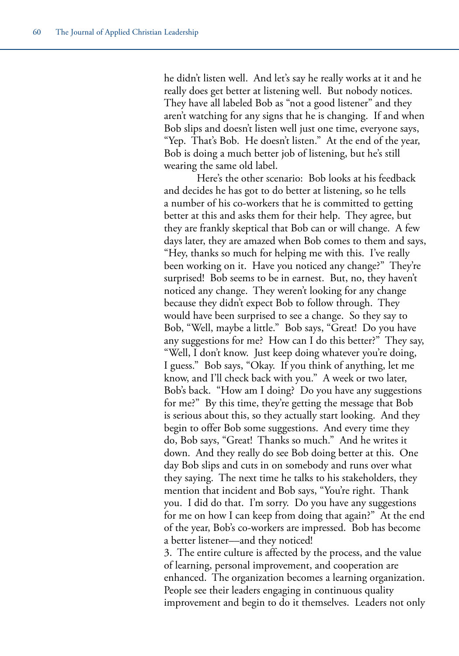he didn't listen well. And let's say he really works at it and he really does get better at listening well. But nobody notices. They have all labeled Bob as "not a good listener" and they aren't watching for any signs that he is changing. If and when Bob slips and doesn't listen well just one time, everyone says, "Yep. That's Bob. He doesn't listen." At the end of the year, Bob is doing a much better job of listening, but he's still wearing the same old label.

Here's the other scenario: Bob looks at his feedback and decides he has got to do better at listening, so he tells a number of his co-workers that he is committed to getting better at this and asks them for their help. They agree, but they are frankly skeptical that Bob can or will change. A few days later, they are amazed when Bob comes to them and says, "Hey, thanks so much for helping me with this. I've really been working on it. Have you noticed any change?" They're surprised! Bob seems to be in earnest. But, no, they haven't noticed any change. They weren't looking for any change because they didn't expect Bob to follow through. They would have been surprised to see a change. So they say to Bob, "Well, maybe a little." Bob says, "Great! Do you have any suggestions for me? How can I do this better?" They say, "Well, I don't know. Just keep doing whatever you're doing, I guess." Bob says, "Okay. If you think of anything, let me know, and I'll check back with you." A week or two later, Bob's back. "How am I doing? Do you have any suggestions for me?" By this time, they're getting the message that Bob is serious about this, so they actually start looking. And they begin to offer Bob some suggestions. And every time they do, Bob says, "Great! Thanks so much." And he writes it down. And they really do see Bob doing better at this. One day Bob slips and cuts in on somebody and runs over what they saying. The next time he talks to his stakeholders, they mention that incident and Bob says, "You're right. Thank you. I did do that. I'm sorry. Do you have any suggestions for me on how I can keep from doing that again?" At the end of the year, Bob's co-workers are impressed. Bob has become a better listener––and they noticed!

3. The entire culture is affected by the process, and the value of learning, personal improvement, and cooperation are enhanced. The organization becomes a learning organization. People see their leaders engaging in continuous quality improvement and begin to do it themselves. Leaders not only